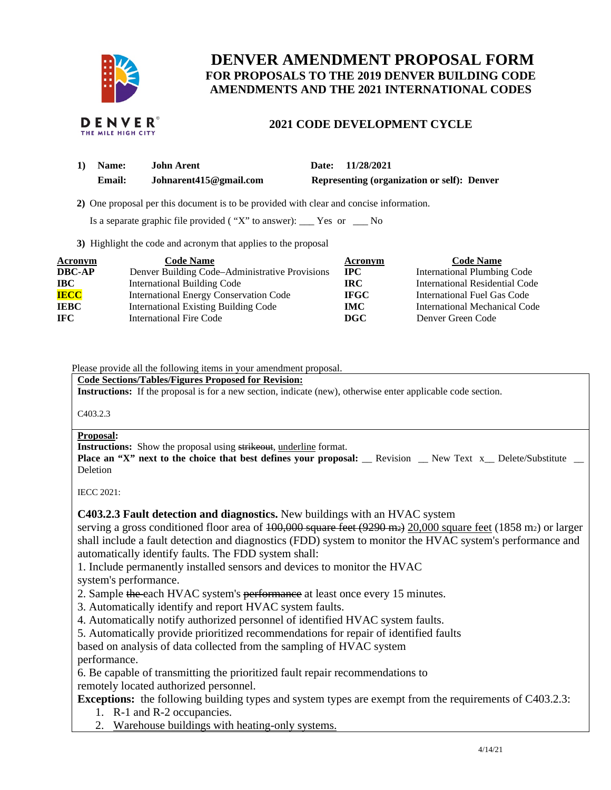

# **DENVER AMENDMENT PROPOSAL FORM FOR PROPOSALS TO THE 2019 DENVER BUILDING CODE AMENDMENTS AND THE 2021 INTERNATIONAL CODES**



## **2021 CODE DEVELOPMENT CYCLE**

| $\bf{1)}$ | <b>Name:</b>  | John Arent             | Date: 11/28/2021                            |
|-----------|---------------|------------------------|---------------------------------------------|
|           | <b>Email:</b> | Johnarent415@gmail.com | Representing (organization or self): Denver |

 **2)** One proposal per this document is to be provided with clear and concise information.

Is a separate graphic file provided ( "X" to answer): \_\_\_ Yes or \_\_\_ No

**3)** Highlight the code and acronym that applies to the proposal

| <b>Acronym</b> | <b>Code Name</b>                               | Acronym     | <b>Code Name</b>                   |
|----------------|------------------------------------------------|-------------|------------------------------------|
| <b>DBC-AP</b>  | Denver Building Code–Administrative Provisions | $\bf IPC$   | <b>International Plumbing Code</b> |
| <b>IBC</b>     | <b>International Building Code</b>             | IRC.        | International Residential Code     |
| <b>IECC</b>    | <b>International Energy Conservation Code</b>  | <b>IFGC</b> | International Fuel Gas Code        |
| <b>IEBC</b>    | <b>International Existing Building Code</b>    | <b>IMC</b>  | International Mechanical Code      |
| IFC.           | International Fire Code                        | DGC.        | Denver Green Code                  |

Please provide all the following items in your amendment proposal.

**Code Sections/Tables/Figures Proposed for Revision:** 

**Instructions:** If the proposal is for a new section, indicate (new), otherwise enter applicable code section.

C403.2.3

#### **Proposal:**

**Instructions:** Show the proposal using strikeout, underline format.

**Place an "X" next to the choice that best defines your proposal:** \_\_ Revision \_\_ New Text x\_\_ Delete/Substitute Deletion

IECC 2021:

### **C403.2.3 Fault detection and diagnostics.** New buildings with an HVAC system

serving a gross conditioned floor area of  $100,000$  square feet  $(9290 \text{ m}_2)$  20,000 square feet (1858 m<sub>2</sub>) or larger shall include a fault detection and diagnostics (FDD) system to monitor the HVAC system's performance and automatically identify faults. The FDD system shall:

1. Include permanently installed sensors and devices to monitor the HVAC system's performance.

- 2. Sample the each HVAC system's performance at least once every 15 minutes.
- 3. Automatically identify and report HVAC system faults.
- 4. Automatically notify authorized personnel of identified HVAC system faults.
- 5. Automatically provide prioritized recommendations for repair of identified faults

based on analysis of data collected from the sampling of HVAC system performance.

6. Be capable of transmitting the prioritized fault repair recommendations to remotely located authorized personnel.

**Exceptions:** the following building types and system types are exempt from the requirements of C403.2.3:

- 1. R-1 and R-2 occupancies.
- 2. Warehouse buildings with heating-only systems.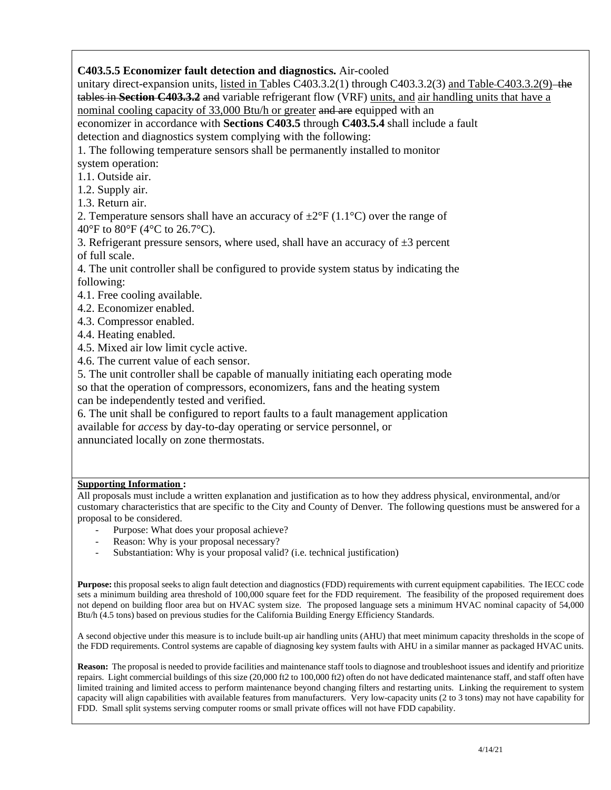# **C403.5.5 Economizer fault detection and diagnostics.** Air-cooled

unitary direct-expansion units, listed in Tables C403.3.2(1) through C403.3.2(3) and Table-C403.3.2(9) the tables in **Section C403.3.2** and variable refrigerant flow (VRF) units, and air handling units that have a nominal cooling capacity of 33,000 Btu/h or greater and are equipped with an economizer in accordance with **Sections C403.5** through **C403.5.4** shall include a fault detection and diagnostics system complying with the following:

1. The following temperature sensors shall be permanently installed to monitor

system operation:

1.1. Outside air.

1.2. Supply air.

1.3. Return air.

2. Temperature sensors shall have an accuracy of  $\pm 2^{\circ}F(1.1^{\circ}C)$  over the range of 40°F to 80°F (4°C to 26.7°C).

3. Refrigerant pressure sensors, where used, shall have an accuracy of  $\pm 3$  percent of full scale.

4. The unit controller shall be configured to provide system status by indicating the following:

4.1. Free cooling available.

- 4.2. Economizer enabled.
- 4.3. Compressor enabled.
- 4.4. Heating enabled.

4.5. Mixed air low limit cycle active.

4.6. The current value of each sensor.

5. The unit controller shall be capable of manually initiating each operating mode

so that the operation of compressors, economizers, fans and the heating system can be independently tested and verified.

6. The unit shall be configured to report faults to a fault management application available for *access* by day-to-day operating or service personnel, or annunciated locally on zone thermostats.

### **Supporting Information :**

All proposals must include a written explanation and justification as to how they address physical, environmental, and/or customary characteristics that are specific to the City and County of Denver. The following questions must be answered for a proposal to be considered.

- Purpose: What does your proposal achieve?
- Reason: Why is your proposal necessary?
- Substantiation: Why is your proposal valid? (i.e. technical justification)

**Purpose:** this proposal seeks to align fault detection and diagnostics (FDD) requirements with current equipment capabilities. The IECC code sets a minimum building area threshold of 100,000 square feet for the FDD requirement. The feasibility of the proposed requirement does not depend on building floor area but on HVAC system size. The proposed language sets a minimum HVAC nominal capacity of 54,000 Btu/h (4.5 tons) based on previous studies for the California Building Energy Efficiency Standards.

A second objective under this measure is to include built-up air handling units (AHU) that meet minimum capacity thresholds in the scope of the FDD requirements. Control systems are capable of diagnosing key system faults with AHU in a similar manner as packaged HVAC units.

**Reason:** The proposal is needed to provide facilities and maintenance staff tools to diagnose and troubleshoot issues and identify and prioritize repairs. Light commercial buildings of this size (20,000 ft2 to 100,000 ft2) often do not have dedicated maintenance staff, and staff often have limited training and limited access to perform maintenance beyond changing filters and restarting units. Linking the requirement to system capacity will align capabilities with available features from manufacturers. Very low-capacity units (2 to 3 tons) may not have capability for FDD. Small split systems serving computer rooms or small private offices will not have FDD capability.